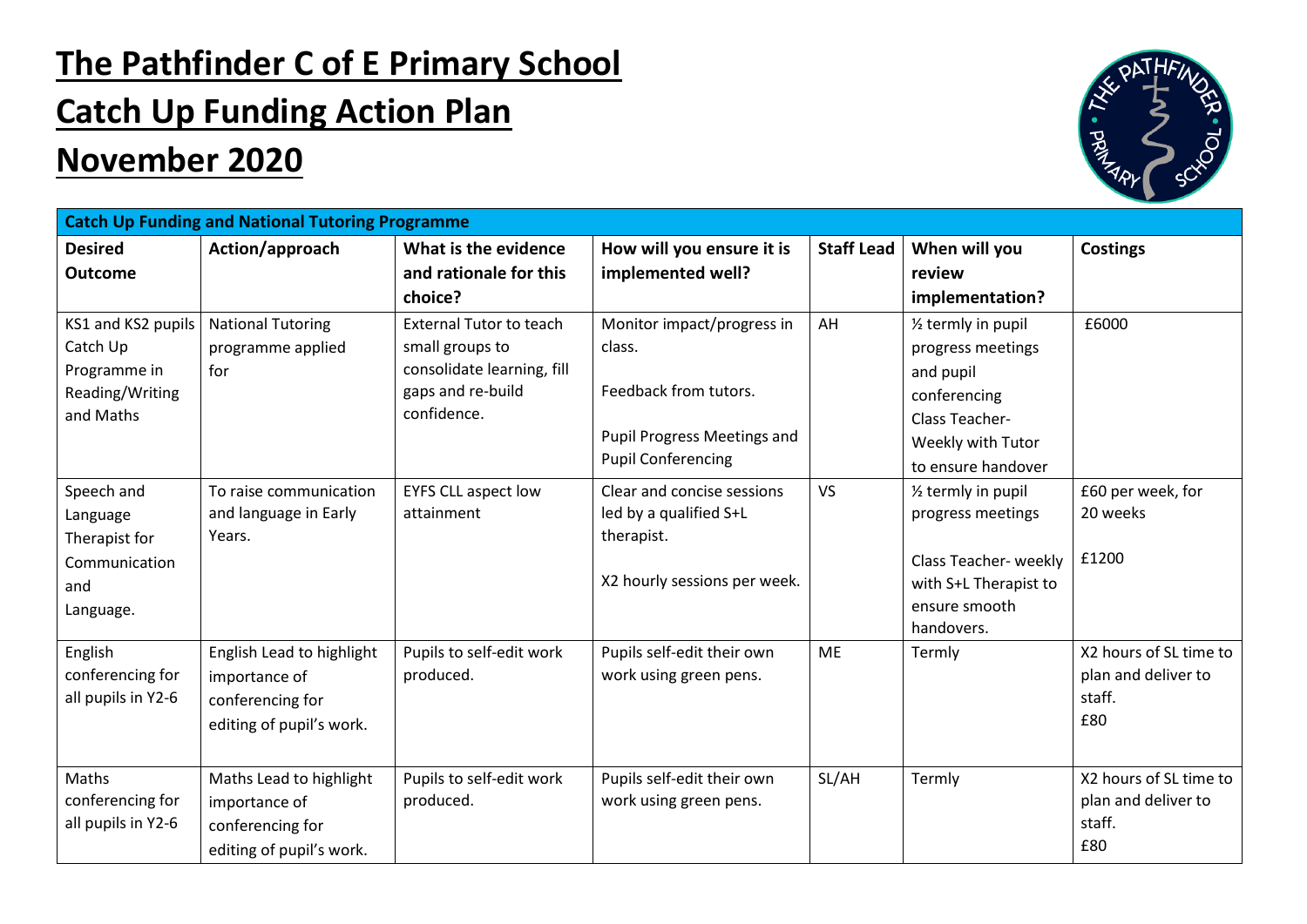## **The Pathfinder C of E Primary School**

## **Catch Up Funding Action Plan**

## **November 2020**



| <b>Catch Up Funding and National Tutoring Programme</b> |                           |                                |                                    |                   |                                 |                               |  |  |  |  |
|---------------------------------------------------------|---------------------------|--------------------------------|------------------------------------|-------------------|---------------------------------|-------------------------------|--|--|--|--|
| <b>Desired</b>                                          | Action/approach           | What is the evidence           | How will you ensure it is          | <b>Staff Lead</b> | When will you                   | <b>Costings</b>               |  |  |  |  |
| <b>Outcome</b>                                          |                           | and rationale for this         | implemented well?                  |                   | review                          |                               |  |  |  |  |
|                                                         |                           | choice?                        |                                    |                   | implementation?                 |                               |  |  |  |  |
| KS1 and KS2 pupils                                      | <b>National Tutoring</b>  | <b>External Tutor to teach</b> | Monitor impact/progress in         | AH                | 1/2 termly in pupil             | £6000                         |  |  |  |  |
| Catch Up                                                | programme applied         | small groups to                | class.                             |                   | progress meetings               |                               |  |  |  |  |
| Programme in                                            | for                       | consolidate learning, fill     |                                    |                   | and pupil                       |                               |  |  |  |  |
| Reading/Writing                                         |                           | gaps and re-build              | Feedback from tutors.              |                   | conferencing                    |                               |  |  |  |  |
| and Maths                                               |                           | confidence.                    |                                    |                   | Class Teacher-                  |                               |  |  |  |  |
|                                                         |                           |                                | <b>Pupil Progress Meetings and</b> |                   | Weekly with Tutor               |                               |  |  |  |  |
|                                                         |                           |                                | <b>Pupil Conferencing</b>          |                   | to ensure handover              |                               |  |  |  |  |
| Speech and                                              | To raise communication    | <b>EYFS CLL aspect low</b>     | Clear and concise sessions         | <b>VS</b>         | 1/ <sub>2</sub> termly in pupil | £60 per week, for             |  |  |  |  |
| Language                                                | and language in Early     | attainment                     | led by a qualified S+L             |                   | progress meetings               | 20 weeks                      |  |  |  |  |
| Therapist for                                           | Years.                    |                                | therapist.                         |                   |                                 |                               |  |  |  |  |
| Communication                                           |                           |                                |                                    |                   | Class Teacher- weekly           | £1200                         |  |  |  |  |
| and                                                     |                           |                                | X2 hourly sessions per week.       |                   | with S+L Therapist to           |                               |  |  |  |  |
| Language.                                               |                           |                                |                                    |                   | ensure smooth                   |                               |  |  |  |  |
|                                                         |                           |                                |                                    |                   | handovers.                      |                               |  |  |  |  |
| English                                                 | English Lead to highlight | Pupils to self-edit work       | Pupils self-edit their own         | <b>ME</b>         | Termly                          | X2 hours of SL time to        |  |  |  |  |
| conferencing for<br>all pupils in Y2-6                  | importance of             | produced.                      | work using green pens.             |                   |                                 | plan and deliver to<br>staff. |  |  |  |  |
|                                                         | conferencing for          |                                |                                    |                   |                                 | £80                           |  |  |  |  |
|                                                         | editing of pupil's work.  |                                |                                    |                   |                                 |                               |  |  |  |  |
|                                                         |                           |                                |                                    |                   |                                 |                               |  |  |  |  |
| Maths                                                   | Maths Lead to highlight   | Pupils to self-edit work       | Pupils self-edit their own         | SL/AH             | Termly                          | X2 hours of SL time to        |  |  |  |  |
| conferencing for                                        | importance of             | produced.                      | work using green pens.             |                   |                                 | plan and deliver to           |  |  |  |  |
| all pupils in Y2-6                                      | conferencing for          |                                |                                    |                   |                                 | staff.                        |  |  |  |  |
|                                                         | editing of pupil's work.  |                                |                                    |                   |                                 | £80                           |  |  |  |  |